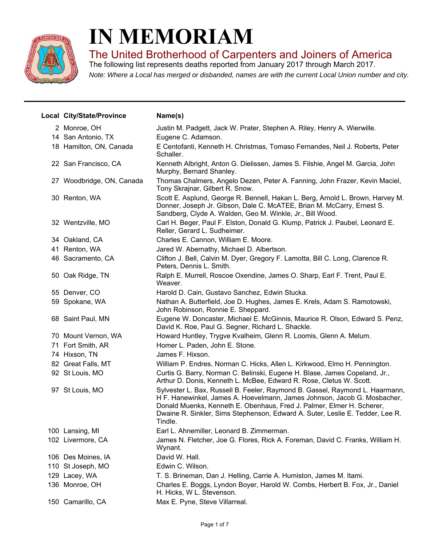

## **IN MEMORIAM**

The United Brotherhood of Carpenters and Joiners of America

*Note: Where a Local has merged or disbanded, names are with the current Local Union number and city.* The following list represents deaths reported from January 2017 through March 2017.

| Local City/State/Province | Name(s)                                                                                                                                                                                                                                                                                                                       |
|---------------------------|-------------------------------------------------------------------------------------------------------------------------------------------------------------------------------------------------------------------------------------------------------------------------------------------------------------------------------|
| 2 Monroe, OH              | Justin M. Padgett, Jack W. Prater, Stephen A. Riley, Henry A. Wierwille.                                                                                                                                                                                                                                                      |
| 14 San Antonio, TX        | Eugene C. Adamson.                                                                                                                                                                                                                                                                                                            |
| 18 Hamilton, ON, Canada   | E Centofanti, Kenneth H. Christmas, Tomaso Fernandes, Neil J. Roberts, Peter<br>Schaller.                                                                                                                                                                                                                                     |
| 22 San Francisco, CA      | Kenneth Albright, Anton G. Dielissen, James S. Filshie, Angel M. Garcia, John<br>Murphy, Bernard Shanley.                                                                                                                                                                                                                     |
| 27 Woodbridge, ON, Canada | Thomas Chalmers, Angelo Dezen, Peter A. Fanning, John Frazer, Kevin Maciel,<br>Tony Skrajnar, Gilbert R. Snow.                                                                                                                                                                                                                |
| 30 Renton, WA             | Scott E. Asplund, George R. Bennell, Hakan L. Berg, Arnold L. Brown, Harvey M.<br>Donner, Joseph Jr. Gibson, Dale C. McATEE, Brian M. McCarry, Ernest S.<br>Sandberg, Clyde A. Walden, Geo M. Winkle, Jr., Bill Wood.                                                                                                         |
| 32 Wentzville, MO         | Carl H. Beger, Paul F. Elston, Donald G. Klump, Patrick J. Paubel, Leonard E.<br>Reller, Gerard L. Sudheimer.                                                                                                                                                                                                                 |
| 34 Oakland, CA            | Charles E. Cannon, William E. Moore.                                                                                                                                                                                                                                                                                          |
| 41 Renton, WA             | Jared W. Abernathy, Michael D. Albertson.                                                                                                                                                                                                                                                                                     |
| 46 Sacramento, CA         | Clifton J. Bell, Calvin M. Dyer, Gregory F. Lamotta, Bill C. Long, Clarence R.<br>Peters, Dennis L. Smith.                                                                                                                                                                                                                    |
| 50 Oak Ridge, TN          | Ralph E. Murrell, Roscoe Oxendine, James O. Sharp, Earl F. Trent, Paul E.<br>Weaver.                                                                                                                                                                                                                                          |
| 55 Denver, CO             | Harold D. Cain, Gustavo Sanchez, Edwin Stucka.                                                                                                                                                                                                                                                                                |
| 59 Spokane, WA            | Nathan A. Butterfield, Joe D. Hughes, James E. Krels, Adam S. Ramotowski,<br>John Robinson, Ronnie E. Sheppard.                                                                                                                                                                                                               |
| 68 Saint Paul, MN         | Eugene W. Doncaster, Michael E. McGinnis, Maurice R. Olson, Edward S. Penz,<br>David K. Roe, Paul G. Segner, Richard L. Shackle.                                                                                                                                                                                              |
| 70 Mount Vernon, WA       | Howard Huntley, Trygve Kvalheim, Glenn R. Loomis, Glenn A. Melum.                                                                                                                                                                                                                                                             |
| 71 Fort Smith, AR         | Homer L. Paden, John E. Stone.                                                                                                                                                                                                                                                                                                |
| 74 Hixson, TN             | James F. Hixson.                                                                                                                                                                                                                                                                                                              |
| 82 Great Falls, MT        | William P. Endres, Norman C. Hicks, Allen L. Kirkwood, Elmo H. Pennington.                                                                                                                                                                                                                                                    |
| 92 St Louis, MO           | Curtis G. Barry, Norman C. Belinski, Eugene H. Blase, James Copeland, Jr.,<br>Arthur D. Donis, Kenneth L. McBee, Edward R. Rose, Cletus W. Scott.                                                                                                                                                                             |
| 97 St Louis, MO           | Sylvester L. Bax, Russell B. Feeler, Raymond B. Gassel, Raymond L. Haarmann,<br>H F. Hanewinkel, James A. Hoevelmann, James Johnson, Jacob G. Mosbacher,<br>Donald Muenks, Kenneth E. Obenhaus, Fred J. Palmer, Elmer H. Scherer,<br>Dwaine R. Sinkler, Sims Stephenson, Edward A. Suter, Leslie E. Tedder, Lee R.<br>Tindle. |
| 100 Lansing, MI           | Earl L. Ahnemiller, Leonard B. Zimmerman.                                                                                                                                                                                                                                                                                     |
| 102 Livermore, CA         | James N. Fletcher, Joe G. Flores, Rick A. Foreman, David C. Franks, William H.<br>Wynant.                                                                                                                                                                                                                                     |
| 106 Des Moines, IA        | David W. Hall.                                                                                                                                                                                                                                                                                                                |
| 110 St Joseph, MO         | Edwin C. Wilson.                                                                                                                                                                                                                                                                                                              |
| 129 Lacey, WA             | T. S. Brineman, Dan J. Helling, Carrie A. Humiston, James M. Itami.                                                                                                                                                                                                                                                           |
| 136 Monroe, OH            | Charles E. Boggs, Lyndon Boyer, Harold W. Combs, Herbert B. Fox, Jr., Daniel<br>H. Hicks, W L. Stevenson.                                                                                                                                                                                                                     |
| 150 Camarillo, CA         | Max E. Pyne, Steve Villarreal.                                                                                                                                                                                                                                                                                                |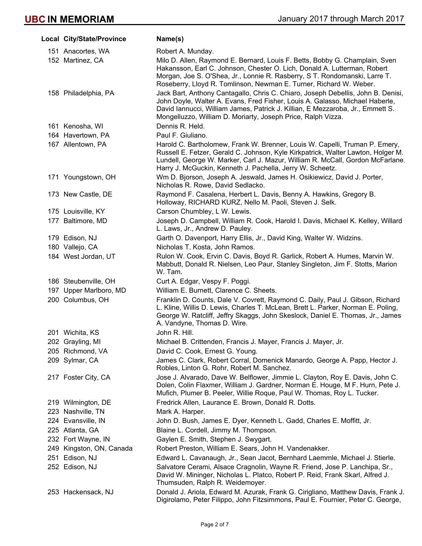| Local City/State/Province | Name(s)                                                                                                                                                                                                                                                                                                            |
|---------------------------|--------------------------------------------------------------------------------------------------------------------------------------------------------------------------------------------------------------------------------------------------------------------------------------------------------------------|
| 151 Anacortes, WA         | Robert A. Munday.                                                                                                                                                                                                                                                                                                  |
| 152 Martinez, CA          | Milo D. Allen, Raymond E. Bernard, Louis F. Betts, Bobby G. Champlain, Sven<br>Hakansson, Earl C. Johnson, Chester O. Lich, Donald A. Lutterman, Robert<br>Morgan, Joe S. O'Shea, Jr., Lonnie R. Rasberry, S T. Rondomanski, Larre T.<br>Roseberry, Lloyd R. Tomlinson, Newman E. Turner, Richard W. Weber.        |
| 158 Philadelphia, PA      | Jack Bart, Anthony Cantagallo, Chris C. Chiaro, Joseph Debellis, John B. Denisi,<br>John Doyle, Walter A. Evans, Fred Fisher, Louis A. Galasso, Michael Haberle,<br>David Iannucci, William James, Patrick J. Killian, E Mezzaroba, Jr., Emmett S.<br>Mongelluzzo, William D. Moriarty, Joseph Price, Ralph Vizza. |
| 161 Kenosha, WI           | Dennis R. Held.                                                                                                                                                                                                                                                                                                    |
| 164 Havertown, PA         | Paul F. Giuliano.                                                                                                                                                                                                                                                                                                  |
| 167 Allentown, PA         | Harold C. Bartholomew, Frank W. Brenner, Louis W. Capelli, Truman P. Emery,<br>Russell E. Fetzer, Gerald C. Johnson, Kyle Kirkpatrick, Walter Lawton, Holger M.<br>Lundell, George W. Marker, Carl J. Mazur, William R. McCall, Gordon McFarlane,<br>Harry J. McGuckin, Kenneth J. Pachella, Jerry W. Scheetz.     |
| 171 Youngstown, OH        | Wm D. Bjorson, Joseph A. Jeswald, James H. Osikiewicz, David J. Porter,<br>Nicholas R. Rowe, David Sedlacko.                                                                                                                                                                                                       |
| 173 New Castle, DE        | Raymond F. Casalena, Herbert L. Davis, Benny A. Hawkins, Gregory B.<br>Holloway, RICHARD KURZ, Nello M. Paoli, Steven J. Selk.                                                                                                                                                                                     |
| 175 Louisville, KY        | Carson Chumbley, L W. Lewis.                                                                                                                                                                                                                                                                                       |
| 177 Baltimore, MD         | Joseph D. Campbell, William R. Cook, Harold I. Davis, Michael K. Kelley, Willard<br>L. Laws, Jr., Andrew D. Pauley.                                                                                                                                                                                                |
| 179 Edison, NJ            | Garth O. Davenport, Harry Ellis, Jr., David King, Walter W. Widzins.                                                                                                                                                                                                                                               |
| 180 Vallejo, CA           | Nicholas T. Kosta, John Ramos.                                                                                                                                                                                                                                                                                     |
| 184 West Jordan, UT       | Rulon W. Cook, Ervin C. Davis, Boyd R. Garlick, Robert A. Humes, Marvin W.<br>Mabbutt, Donald R. Nielsen, Leo Paur, Stanley Singleton, Jim F. Stotts, Marion<br>W. Tam.                                                                                                                                            |
| 186 Steubenville, OH      | Curt A. Edgar, Vespy F. Poggi.                                                                                                                                                                                                                                                                                     |
| 197 Upper Marlboro, MD    | William E. Burnett, Clarence C. Sheets.                                                                                                                                                                                                                                                                            |
| 200 Columbus, OH          | Franklin D. Counts, Dale V. Covrett, Raymond C. Daily, Paul J. Gibson, Richard<br>L. Kline, Willis D. Lewis, Charles T. McLean, Brett L. Parker, Norman E. Poling,<br>George W. Ratcliff, Jeffry Skaggs, John Skeslock, Daniel E. Thomas, Jr., James<br>A. Vandyne, Thomas D. Wire.                                |
| 201 Wichita, KS           | John R. Hill.                                                                                                                                                                                                                                                                                                      |
| 202 Grayling, MI          | Michael B. Crittenden, Francis J. Mayer, Francis J. Mayer, Jr.                                                                                                                                                                                                                                                     |
| 205 Richmond, VA          | David C. Cook, Ernest G. Young.                                                                                                                                                                                                                                                                                    |
| 209 Sylmar, CA            | James C. Clark, Robert Corral, Domenick Manardo, George A. Papp, Hector J.<br>Robles, Linton G. Rohr, Robert M. Sanchez.                                                                                                                                                                                           |
| 217 Foster City, CA       | Jose J. Alvarado, Dave W. Belflower, Jimmie L. Clayton, Roy E. Davis, John C.<br>Dolen, Colin Flaxmer, William J. Gardner, Norman E. Houge, M F. Hurn, Pete J.<br>Mufich, Plumer B. Peeler, Willie Roque, Paul W. Thomas, Roy L. Tucker.                                                                           |
| 219 Wilmington, DE        | Fredrick Allen, Laurance E. Brown, Donald R. Dotts.                                                                                                                                                                                                                                                                |
| 223 Nashville, TN         | Mark A. Harper.                                                                                                                                                                                                                                                                                                    |
| 224 Evansville, IN        | John D. Bush, James E. Dyer, Kenneth L. Gadd, Charles E. Moffitt, Jr.                                                                                                                                                                                                                                              |
| 225 Atlanta, GA           | Blaine L. Cordell, Jimmy M. Thompson.                                                                                                                                                                                                                                                                              |
| 232 Fort Wayne, IN        | Gaylen E. Smith, Stephen J. Swygart.                                                                                                                                                                                                                                                                               |
| 249 Kingston, ON, Canada  | Robert Preston, William E. Sears, John H. Vandenakker.                                                                                                                                                                                                                                                             |
| 251 Edison, NJ            | Edward L. Cavanaugh, Jr., Sean Jacot, Bernhard Laemmle, Michael J. Stierle.                                                                                                                                                                                                                                        |
| 252 Edison, NJ            | Salvatore Cerami, Alsace Cragnolin, Wayne R. Friend, Jose P. Lanchipa, Sr.,<br>David W. Mininger, Nicholas L. Platco, Robert P. Reid, Frank Skarl, Alfred J.<br>Thumsuden, Ralph R. Weidemoyer.                                                                                                                    |
| 253 Hackensack, NJ        | Donald J. Ariola, Edward M. Azurak, Frank G. Cirigliano, Matthew Davis, Frank J.<br>Digirolamo, Peter Filippo, John Fitzsimmons, Paul E. Fournier, Peter C. George,                                                                                                                                                |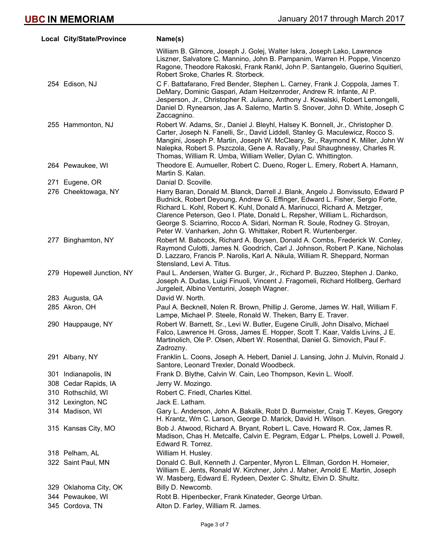| Local City/State/Province | Name(s)                                                                                                                                                                                                                                                                                                                                                                                                                                                                   |
|---------------------------|---------------------------------------------------------------------------------------------------------------------------------------------------------------------------------------------------------------------------------------------------------------------------------------------------------------------------------------------------------------------------------------------------------------------------------------------------------------------------|
|                           | William B. Gilmore, Joseph J. Golej, Walter Iskra, Joseph Lako, Lawrence<br>Liszner, Salvatore C. Mannino, John B. Pampanim, Warren H. Poppe, Vincenzo<br>Ragone, Theodore Rakoski, Frank Rankl, John P. Santangelo, Guerino Squitieri,<br>Robert Sroke, Charles R. Storbeck.                                                                                                                                                                                             |
| 254 Edison, NJ            | C F. Battafarano, Fred Bender, Stephen L. Carney, Frank J. Coppola, James T.<br>DeMary, Dominic Gaspari, Adam Heitzenroder, Andrew R. Infante, Al P.<br>Jesperson, Jr., Christopher R. Juliano, Anthony J. Kowalski, Robert Lemongelli,<br>Daniel D. Rynearson, Jas A. Salerno, Martin S. Snover, John D. White, Joseph C.<br>Zaccagnino.                                                                                                                                 |
| 255 Hammonton, NJ         | Robert W. Adams, Sr., Daniel J. Bleyhl, Halsey K. Bonnell, Jr., Christopher D.<br>Carter, Joseph N. Fanelli, Sr., David Liddell, Stanley G. Maculewicz, Rocco S.<br>Mangini, Joseph P. Martin, Joseph W. McCleary, Sr., Raymond K. Miller, John W.<br>Nalepka, Robert S. Pszczola, Gene A. Ravally, Paul Shaughnessy, Charles R.<br>Thomas, William R. Umba, William Weller, Dylan C. Whittington.                                                                        |
| 264 Pewaukee, WI          | Theodore E. Aumueller, Robert C. Dueno, Roger L. Emery, Robert A. Hamann,<br>Martin S. Kalan.                                                                                                                                                                                                                                                                                                                                                                             |
| 271 Eugene, OR            | Danial D. Scoville.                                                                                                                                                                                                                                                                                                                                                                                                                                                       |
| 276 Cheektowaga, NY       | Harry Baran, Donald M. Blanck, Darrell J. Blank, Angelo J. Bonvissuto, Edward P<br>Budnick, Robert Deyoung, Andrew G. Effinger, Edward L. Fisher, Sergio Forte,<br>Richard L. Kohl, Robert K. Kuhl, Donald A. Marinucci, Richard A. Metzger,<br>Clarence Peterson, Geo I. Plate, Donald L. Repsher, William L. Richardson,<br>George S. Sciarrino, Rocco A. Sidari, Norman R. Soule, Rodney G. Stroyan,<br>Peter W. Vanharken, John G. Whittaker, Robert R. Wurtenberger. |
| 277 Binghamton, NY        | Robert M. Babcock, Richard A. Boysen, Donald A. Combs, Frederick W. Conley,<br>Raymond Culotti, James N. Goodrich, Carl J. Johnson, Robert P. Kane, Nicholas<br>D. Lazzaro, Francis P. Narolis, Karl A. Nikula, William R. Sheppard, Norman<br>Stensland, Levi A. Titus.                                                                                                                                                                                                  |
| 279 Hopewell Junction, NY | Paul L. Andersen, Walter G. Burger, Jr., Richard P. Buzzeo, Stephen J. Danko,<br>Joseph A. Dudas, Luigi Finuoli, Vincent J. Fragomeli, Richard Hollberg, Gerhard<br>Jurgeleit, Albino Venturini, Joseph Wagner.                                                                                                                                                                                                                                                           |
| 283 Augusta, GA           | David W. North.                                                                                                                                                                                                                                                                                                                                                                                                                                                           |
| 285 Akron, OH             | Paul A. Becknell, Nolen R. Brown, Phillip J. Gerome, James W. Hall, William F.<br>Lampe, Michael P. Steele, Ronald W. Theken, Barry E. Traver.                                                                                                                                                                                                                                                                                                                            |
| 290 Hauppauge, NY         | Robert W. Barnett, Sr., Levi W. Butler, Eugene Cirulli, John Disalvo, Michael<br>Falco, Lawrence H. Gross, James E. Hopper, Scott T. Kaar, Valdis Livins, J E.<br>Martinolich, Ole P. Olsen, Albert W. Rosenthal, Daniel G. Simovich, Paul F.<br>Zadrozny.                                                                                                                                                                                                                |
| 291 Albany, NY            | Franklin L. Coons, Joseph A. Hebert, Daniel J. Lansing, John J. Mulvin, Ronald J.<br>Santore, Leonard Trexler, Donald Woodbeck.                                                                                                                                                                                                                                                                                                                                           |
| 301 Indianapolis, IN      | Frank D. Blythe, Calvin W. Cain, Leo Thompson, Kevin L. Woolf.                                                                                                                                                                                                                                                                                                                                                                                                            |
| 308 Cedar Rapids, IA      | Jerry W. Mozingo.                                                                                                                                                                                                                                                                                                                                                                                                                                                         |
| 310 Rothschild, WI        | Robert C. Friedl, Charles Kittel.                                                                                                                                                                                                                                                                                                                                                                                                                                         |
| 312 Lexington, NC         | Jack E. Latham.                                                                                                                                                                                                                                                                                                                                                                                                                                                           |
| 314 Madison, WI           | Gary L. Anderson, John A. Bakalik, Robt D. Burmeister, Craig T. Keyes, Gregory<br>H. Krantz, Wm C. Larson, George D. Marick, David H. Wilson.                                                                                                                                                                                                                                                                                                                             |
| 315 Kansas City, MO       | Bob J. Atwood, Richard A. Bryant, Robert L. Cave, Howard R. Cox, James R.<br>Madison, Chas H. Metcalfe, Calvin E. Pegram, Edgar L. Phelps, Lowell J. Powell,<br>Edward R. Torrez.                                                                                                                                                                                                                                                                                         |
| 318 Pelham, AL            | William H. Husley.                                                                                                                                                                                                                                                                                                                                                                                                                                                        |
| 322 Saint Paul, MN        | Donald C. Bull, Kenneth J. Carpenter, Myron L. Ellman, Gordon H. Homeier,<br>William E. Jents, Ronald W. Kirchner, John J. Maher, Arnold E. Martin, Joseph<br>W. Masberg, Edward E. Rydeen, Dexter C. Shultz, Elvin D. Shultz.                                                                                                                                                                                                                                            |
| 329 Oklahoma City, OK     | Billy D. Newcomb.                                                                                                                                                                                                                                                                                                                                                                                                                                                         |
| 344 Pewaukee, WI          | Robt B. Hipenbecker, Frank Kinateder, George Urban.                                                                                                                                                                                                                                                                                                                                                                                                                       |
| 345 Cordova, TN           | Alton D. Farley, William R. James.                                                                                                                                                                                                                                                                                                                                                                                                                                        |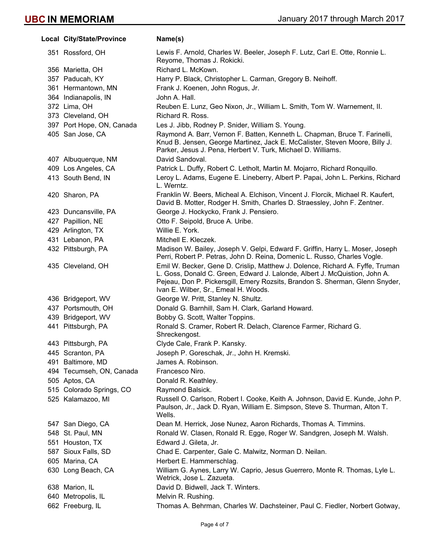| Local City/State/Province | Name(s)                                                                                                                                                                                                                                                                             |
|---------------------------|-------------------------------------------------------------------------------------------------------------------------------------------------------------------------------------------------------------------------------------------------------------------------------------|
| 351 Rossford, OH          | Lewis F. Arnold, Charles W. Beeler, Joseph F. Lutz, Carl E. Otte, Ronnie L.<br>Reyome, Thomas J. Rokicki.                                                                                                                                                                           |
| 356 Marietta, OH          | Richard L. McKown.                                                                                                                                                                                                                                                                  |
| 357 Paducah, KY           | Harry P. Black, Christopher L. Carman, Gregory B. Neihoff.                                                                                                                                                                                                                          |
| 361 Hermantown, MN        | Frank J. Koenen, John Rogus, Jr.                                                                                                                                                                                                                                                    |
| 364 Indianapolis, IN      | John A. Hall.                                                                                                                                                                                                                                                                       |
| 372 Lima, OH              | Reuben E. Lunz, Geo Nixon, Jr., William L. Smith, Tom W. Warnement, II.                                                                                                                                                                                                             |
| 373 Cleveland, OH         | Richard R. Ross.                                                                                                                                                                                                                                                                    |
| 397 Port Hope, ON, Canada | Les J. Jibb, Rodney P. Snider, William S. Young.                                                                                                                                                                                                                                    |
| 405 San Jose, CA          | Raymond A. Barr, Vernon F. Batten, Kenneth L. Chapman, Bruce T. Farinelli,<br>Knud B. Jensen, George Martinez, Jack E. McCalister, Steven Moore, Billy J.<br>Parker, Jesus J. Pena, Herbert V. Turk, Michael D. Williams.                                                           |
| 407 Albuquerque, NM       | David Sandoval.                                                                                                                                                                                                                                                                     |
| 409 Los Angeles, CA       | Patrick L. Duffy, Robert C. Letholt, Martin M. Mojarro, Richard Ronquillo.                                                                                                                                                                                                          |
| 413 South Bend, IN        | Leroy L. Adams, Eugene E. Lineberry, Albert P. Papai, John L. Perkins, Richard<br>L. Werntz.                                                                                                                                                                                        |
| 420 Sharon, PA            | Franklin W. Beers, Micheal A. Elchison, Vincent J. Florcik, Michael R. Kaufert,<br>David B. Motter, Rodger H. Smith, Charles D. Straessley, John F. Zentner.                                                                                                                        |
| 423 Duncansville, PA      | George J. Hockycko, Frank J. Pensiero.                                                                                                                                                                                                                                              |
| 427 Papillion, NE         | Otto F. Seipold, Bruce A. Uribe.                                                                                                                                                                                                                                                    |
| 429 Arlington, TX         | Willie E. York.                                                                                                                                                                                                                                                                     |
| 431 Lebanon, PA           | Mitchell E. Kleczek.                                                                                                                                                                                                                                                                |
| 432 Pittsburgh, PA        | Madison W. Bailey, Joseph V. Gelpi, Edward F. Griffin, Harry L. Moser, Joseph<br>Perri, Robert P. Petras, John D. Reina, Domenic L. Russo, Charles Vogle.                                                                                                                           |
| 435 Cleveland, OH         | Emil W. Becker, Gene D. Crislip, Matthew J. Dolence, Richard A. Fyffe, Truman<br>L. Goss, Donald C. Green, Edward J. Lalonde, Albert J. McQuistion, John A.<br>Pejeau, Don P. Pickersgill, Emery Rozsits, Brandon S. Sherman, Glenn Snyder,<br>Ivan E. Wilber, Sr., Emeal H. Woods. |
| 436 Bridgeport, WV        | George W. Pritt, Stanley N. Shultz.                                                                                                                                                                                                                                                 |
| 437 Portsmouth, OH        | Donald G. Barnhill, Sam H. Clark, Garland Howard.                                                                                                                                                                                                                                   |
| 439 Bridgeport, WV        | Bobby G. Scott, Walter Toppins.                                                                                                                                                                                                                                                     |
| 441 Pittsburgh, PA        | Ronald S. Cramer, Robert R. Delach, Clarence Farmer, Richard G.<br>Shreckengost.                                                                                                                                                                                                    |
| 443 Pittsburgh, PA        | Clyde Cale, Frank P. Kansky.                                                                                                                                                                                                                                                        |
| 445 Scranton, PA          | Joseph P. Goreschak, Jr., John H. Kremski.                                                                                                                                                                                                                                          |
| 491 Baltimore, MD         | James A. Robinson.                                                                                                                                                                                                                                                                  |
| 494 Tecumseh, ON, Canada  | Francesco Niro.                                                                                                                                                                                                                                                                     |
| 505 Aptos, CA             | Donald R. Keathley.                                                                                                                                                                                                                                                                 |
| 515 Colorado Springs, CO  | Raymond Balsick.                                                                                                                                                                                                                                                                    |
| 525 Kalamazoo, MI         | Russell O. Carlson, Robert I. Cooke, Keith A. Johnson, David E. Kunde, John P.<br>Paulson, Jr., Jack D. Ryan, William E. Simpson, Steve S. Thurman, Alton T.<br>Wells.                                                                                                              |
| 547 San Diego, CA         | Dean M. Herrick, Jose Nunez, Aaron Richards, Thomas A. Timmins.                                                                                                                                                                                                                     |
| 548 St. Paul, MN          | Ronald W. Clasen, Ronald R. Egge, Roger W. Sandgren, Joseph M. Walsh.                                                                                                                                                                                                               |
| 551 Houston, TX           | Edward J. Gileta, Jr.                                                                                                                                                                                                                                                               |
| 587 Sioux Falls, SD       | Chad E. Carpenter, Gale C. Malwitz, Norman D. Neilan.                                                                                                                                                                                                                               |
| 605 Marina, CA            | Herbert E. Hammerschlag.                                                                                                                                                                                                                                                            |
| 630 Long Beach, CA        | William G. Aynes, Larry W. Caprio, Jesus Guerrero, Monte R. Thomas, Lyle L.<br>Wetrick, Jose L. Zazueta.                                                                                                                                                                            |
| 638 Marion, IL            | David D. Bidwell, Jack T. Winters.                                                                                                                                                                                                                                                  |
| 640 Metropolis, IL        | Melvin R. Rushing.                                                                                                                                                                                                                                                                  |
| 662 Freeburg, IL          | Thomas A. Behrman, Charles W. Dachsteiner, Paul C. Fiedler, Norbert Gotway,                                                                                                                                                                                                         |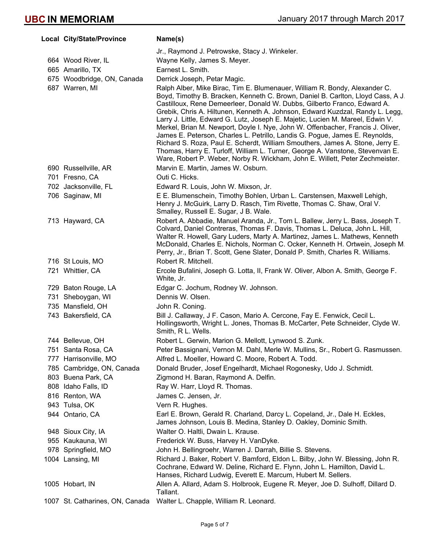| Local City/State/Province       | Name(s)                                                                                                                                                                                                                                                                                                                                                                                                                                                                                                                                                                                                                                                                                                                                                                                                                          |
|---------------------------------|----------------------------------------------------------------------------------------------------------------------------------------------------------------------------------------------------------------------------------------------------------------------------------------------------------------------------------------------------------------------------------------------------------------------------------------------------------------------------------------------------------------------------------------------------------------------------------------------------------------------------------------------------------------------------------------------------------------------------------------------------------------------------------------------------------------------------------|
|                                 | Jr., Raymond J. Petrowske, Stacy J. Winkeler.                                                                                                                                                                                                                                                                                                                                                                                                                                                                                                                                                                                                                                                                                                                                                                                    |
| 664 Wood River, IL              | Wayne Kelly, James S. Meyer.                                                                                                                                                                                                                                                                                                                                                                                                                                                                                                                                                                                                                                                                                                                                                                                                     |
| 665 Amarillo, TX                | Earnest L. Smith.                                                                                                                                                                                                                                                                                                                                                                                                                                                                                                                                                                                                                                                                                                                                                                                                                |
| 675 Woodbridge, ON, Canada      | Derrick Joseph, Petar Magic.                                                                                                                                                                                                                                                                                                                                                                                                                                                                                                                                                                                                                                                                                                                                                                                                     |
| 687 Warren, MI                  | Ralph Alber, Mike Birac, Tim E. Blumenauer, William R. Bondy, Alexander C.<br>Boyd, Timothy B. Bracken, Kenneth C. Brown, Daniel B. Carlton, Lloyd Cass, A J.<br>Castilloux, Rene Demeerleer, Donald W. Dubbs, Gilberto Franco, Edward A.<br>Grebik, Chris A. Hiltunen, Kenneth A. Johnson, Edward Kuzdzal, Randy L. Legg,<br>Larry J. Little, Edward G. Lutz, Joseph E. Majetic, Lucien M. Mareel, Edwin V.<br>Merkel, Brian M. Newport, Doyle I. Nye, John W. Offenbacher, Francis J. Oliver,<br>James E. Peterson, Charles L. Petrillo, Landis G. Pogue, James E. Reynolds,<br>Richard S. Roza, Paul E. Scherdt, William Smouthers, James A. Stone, Jerry E.<br>Thomas, Harry E. Turloff, William L. Turner, George A. Vanstone, Stevenvan E.<br>Ware, Robert P. Weber, Norby R. Wickham, John E. Willett, Peter Zechmeister. |
| 690 Russellville, AR            | Marvin E. Martin, James W. Osburn.                                                                                                                                                                                                                                                                                                                                                                                                                                                                                                                                                                                                                                                                                                                                                                                               |
| 701 Fresno, CA                  | Outi C. Hicks.                                                                                                                                                                                                                                                                                                                                                                                                                                                                                                                                                                                                                                                                                                                                                                                                                   |
| 702 Jacksonville, FL            | Edward R. Louis, John W. Mixson, Jr.                                                                                                                                                                                                                                                                                                                                                                                                                                                                                                                                                                                                                                                                                                                                                                                             |
| 706 Saginaw, MI                 | E E. Blumenschein, Timothy Bohlen, Urban L. Carstensen, Maxwell Lehigh,<br>Henry J. McGuirk, Larry D. Rasch, Tim Rivette, Thomas C. Shaw, Oral V.<br>Smalley, Russell E. Sugar, J B. Wale.                                                                                                                                                                                                                                                                                                                                                                                                                                                                                                                                                                                                                                       |
| 713 Hayward, CA                 | Robert A. Abbadie, Manuel Aranda, Jr., Tom L. Ballew, Jerry L. Bass, Joseph T.<br>Colvard, Daniel Contreras, Thomas F. Davis, Thomas L. Deluca, John L. Hill,<br>Walter R. Howell, Gary Luders, Marty A. Martinez, James L. Mathews, Kenneth<br>McDonald, Charles E. Nichols, Norman C. Ocker, Kenneth H. Ortwein, Joseph M.<br>Perry, Jr., Brian T. Scott, Gene Slater, Donald P. Smith, Charles R. Williams.                                                                                                                                                                                                                                                                                                                                                                                                                   |
| 716 St Louis, MO                | Robert R. Mitchell.                                                                                                                                                                                                                                                                                                                                                                                                                                                                                                                                                                                                                                                                                                                                                                                                              |
| 721 Whittier, CA                | Ercole Bufalini, Joseph G. Lotta, II, Frank W. Oliver, Albon A. Smith, George F.<br>White, Jr.                                                                                                                                                                                                                                                                                                                                                                                                                                                                                                                                                                                                                                                                                                                                   |
| 729 Baton Rouge, LA             | Edgar C. Jochum, Rodney W. Johnson.                                                                                                                                                                                                                                                                                                                                                                                                                                                                                                                                                                                                                                                                                                                                                                                              |
| 731 Sheboygan, WI               | Dennis W. Olsen.                                                                                                                                                                                                                                                                                                                                                                                                                                                                                                                                                                                                                                                                                                                                                                                                                 |
| 735 Mansfield, OH               | John R. Coning.                                                                                                                                                                                                                                                                                                                                                                                                                                                                                                                                                                                                                                                                                                                                                                                                                  |
| 743 Bakersfield, CA             | Bill J. Callaway, J F. Cason, Mario A. Cercone, Fay E. Fenwick, Cecil L.<br>Hollingsworth, Wright L. Jones, Thomas B. McCarter, Pete Schneider, Clyde W.<br>Smith, R L. Wells.                                                                                                                                                                                                                                                                                                                                                                                                                                                                                                                                                                                                                                                   |
| 744 Bellevue, OH                | Robert L. Gerwin, Marion G. Mellott, Lynwood S. Zunk.                                                                                                                                                                                                                                                                                                                                                                                                                                                                                                                                                                                                                                                                                                                                                                            |
| 751 Santa Rosa, CA              | Peter Bassignani, Vernon M. Dahl, Merle W. Mullins, Sr., Robert G. Rasmussen.                                                                                                                                                                                                                                                                                                                                                                                                                                                                                                                                                                                                                                                                                                                                                    |
| 777 Harrisonville, MO           | Alfred L. Moeller, Howard C. Moore, Robert A. Todd.                                                                                                                                                                                                                                                                                                                                                                                                                                                                                                                                                                                                                                                                                                                                                                              |
| 785 Cambridge, ON, Canada       | Donald Bruder, Josef Engelhardt, Michael Rogonesky, Udo J. Schmidt.                                                                                                                                                                                                                                                                                                                                                                                                                                                                                                                                                                                                                                                                                                                                                              |
| 803 Buena Park, CA              | Zigmond H. Baran, Raymond A. Delfin.                                                                                                                                                                                                                                                                                                                                                                                                                                                                                                                                                                                                                                                                                                                                                                                             |
| 808 Idaho Falls, ID             | Ray W. Harr, Lloyd R. Thomas.                                                                                                                                                                                                                                                                                                                                                                                                                                                                                                                                                                                                                                                                                                                                                                                                    |
| 816 Renton, WA                  | James C. Jensen, Jr.                                                                                                                                                                                                                                                                                                                                                                                                                                                                                                                                                                                                                                                                                                                                                                                                             |
| 943 Tulsa, OK                   | Vern R. Hughes.                                                                                                                                                                                                                                                                                                                                                                                                                                                                                                                                                                                                                                                                                                                                                                                                                  |
| 944 Ontario, CA                 | Earl E. Brown, Gerald R. Charland, Darcy L. Copeland, Jr., Dale H. Eckles,<br>James Johnson, Louis B. Medina, Stanley D. Oakley, Dominic Smith.                                                                                                                                                                                                                                                                                                                                                                                                                                                                                                                                                                                                                                                                                  |
| 948 Sioux City, IA              | Walter O. Haltli, Dwain L. Krause.                                                                                                                                                                                                                                                                                                                                                                                                                                                                                                                                                                                                                                                                                                                                                                                               |
| 955 Kaukauna, WI                | Frederick W. Buss, Harvey H. VanDyke.                                                                                                                                                                                                                                                                                                                                                                                                                                                                                                                                                                                                                                                                                                                                                                                            |
| 978 Springfield, MO             | John H. Bellingroehr, Warren J. Darrah, Billie S. Stevens.                                                                                                                                                                                                                                                                                                                                                                                                                                                                                                                                                                                                                                                                                                                                                                       |
| 1004 Lansing, MI                | Richard J. Baker, Robert V. Bamford, Eldon L. Bilby, John W. Blessing, John R.<br>Cochrane, Edward W. Deline, Richard E. Flynn, John L. Hamilton, David L.<br>Hanses, Richard Ludwig, Everett E. Marcum, Hubert M. Sellers.                                                                                                                                                                                                                                                                                                                                                                                                                                                                                                                                                                                                      |
| 1005 Hobart, IN                 | Allen A. Allard, Adam S. Holbrook, Eugene R. Meyer, Joe D. Sulhoff, Dillard D.<br>Tallant.                                                                                                                                                                                                                                                                                                                                                                                                                                                                                                                                                                                                                                                                                                                                       |
| 1007 St. Catharines, ON, Canada | Walter L. Chapple, William R. Leonard.                                                                                                                                                                                                                                                                                                                                                                                                                                                                                                                                                                                                                                                                                                                                                                                           |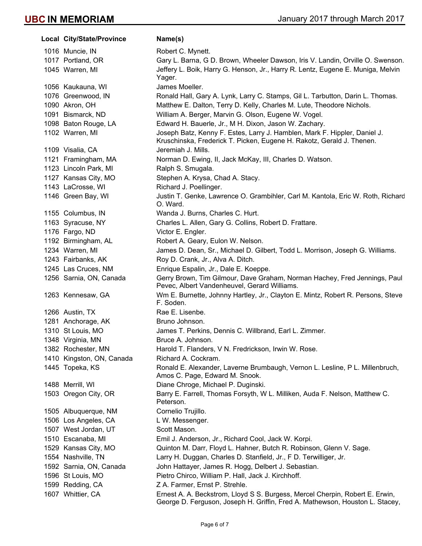| <b>Local City/State/Province</b> | Name(s)                                                                                                                                                      |
|----------------------------------|--------------------------------------------------------------------------------------------------------------------------------------------------------------|
| 1016 Muncie, IN                  | Robert C. Mynett.                                                                                                                                            |
| 1017 Portland, OR                | Gary L. Barna, G D. Brown, Wheeler Dawson, Iris V. Landin, Orville O. Swenson.                                                                               |
| 1045 Warren, MI                  | Jeffery L. Boik, Harry G. Henson, Jr., Harry R. Lentz, Eugene E. Muniga, Melvin<br>Yager.                                                                    |
| 1056 Kaukauna, WI                | James Moeller.                                                                                                                                               |
| 1076 Greenwood, IN               | Ronald Hall, Gary A. Lynk, Larry C. Stamps, Gil L. Tarbutton, Darin L. Thomas.                                                                               |
| 1090 Akron, OH                   | Matthew E. Dalton, Terry D. Kelly, Charles M. Lute, Theodore Nichols.                                                                                        |
| 1091 Bismarck, ND                | William A. Berger, Marvin G. Olson, Eugene W. Vogel.                                                                                                         |
| 1098 Baton Rouge, LA             | Edward H. Bauerle, Jr., M H. Dixon, Jason W. Zachary.                                                                                                        |
| 1102 Warren, MI                  | Joseph Batz, Kenny F. Estes, Larry J. Hamblen, Mark F. Hippler, Daniel J.<br>Kruschinska, Frederick T. Picken, Eugene H. Rakotz, Gerald J. Thenen.           |
| 1109 Visalia, CA                 | Jeremiah J. Mills.                                                                                                                                           |
| 1121 Framingham, MA              | Norman D. Ewing, II, Jack McKay, III, Charles D. Watson.                                                                                                     |
| 1123 Lincoln Park, MI            | Ralph S. Smugala.                                                                                                                                            |
| 1127 Kansas City, MO             | Stephen A. Krysa, Chad A. Stacy.                                                                                                                             |
| 1143 LaCrosse, WI                | Richard J. Poellinger.                                                                                                                                       |
| 1146 Green Bay, WI               | Justin T. Genke, Lawrence O. Grambihler, Carl M. Kantola, Eric W. Roth, Richard<br>O. Ward.                                                                  |
| 1155 Columbus, IN                | Wanda J. Burns, Charles C. Hurt.                                                                                                                             |
| 1163 Syracuse, NY                | Charles L. Allen, Gary G. Collins, Robert D. Frattare.                                                                                                       |
| 1176 Fargo, ND                   | Victor E. Engler.                                                                                                                                            |
| 1192 Birmingham, AL              | Robert A. Geary, Eulon W. Nelson.                                                                                                                            |
| 1234 Warren, MI                  | James D. Dean, Sr., Michael D. Gilbert, Todd L. Morrison, Joseph G. Williams.                                                                                |
| 1243 Fairbanks, AK               | Roy D. Crank, Jr., Alva A. Ditch.                                                                                                                            |
| 1245 Las Cruces, NM              | Enrique Espalin, Jr., Dale E. Koeppe.                                                                                                                        |
| 1256 Sarnia, ON, Canada          | Gerry Brown, Tim Gilmour, Dave Graham, Norman Hachey, Fred Jennings, Paul<br>Pevec, Albert Vandenheuvel, Gerard Williams.                                    |
| 1263 Kennesaw, GA                | Wm E. Burnette, Johnny Hartley, Jr., Clayton E. Mintz, Robert R. Persons, Steve<br>F. Soden.                                                                 |
| 1266 Austin, TX                  | Rae E. Lisenbe.                                                                                                                                              |
| 1281 Anchorage, AK               | Bruno Johnson.                                                                                                                                               |
| 1310 St Louis, MO                | James T. Perkins, Dennis C. Willbrand, Earl L. Zimmer.                                                                                                       |
| 1348 Virginia, MN                | Bruce A. Johnson.                                                                                                                                            |
| 1382 Rochester, MN               | Harold T. Flanders, V N. Fredrickson, Irwin W. Rose.                                                                                                         |
| 1410 Kingston, ON, Canada        | Richard A. Cockram.                                                                                                                                          |
| 1445 Topeka, KS                  | Ronald E. Alexander, Laverne Brumbaugh, Vernon L. Lesline, P L. Millenbruch,<br>Amos C. Page, Edward M. Snook.                                               |
| 1488 Merrill, WI                 | Diane Chroge, Michael P. Duginski.                                                                                                                           |
| 1503 Oregon City, OR             | Barry E. Farrell, Thomas Forsyth, W L. Milliken, Auda F. Nelson, Matthew C.<br>Peterson.                                                                     |
| 1505 Albuquerque, NM             | Cornelio Trujillo.                                                                                                                                           |
| 1506 Los Angeles, CA             | L W. Messenger.                                                                                                                                              |
| 1507 West Jordan, UT             | Scott Mason.                                                                                                                                                 |
| 1510 Escanaba, MI                | Emil J. Anderson, Jr., Richard Cool, Jack W. Korpi.                                                                                                          |
| 1529 Kansas City, MO             | Quinton M. Darr, Floyd L. Hahner, Butch R. Robinson, Glenn V. Sage.                                                                                          |
| 1554 Nashville, TN               | Larry H. Duggan, Charles D. Stanfield, Jr., F D. Terwilliger, Jr.                                                                                            |
| 1592 Sarnia, ON, Canada          | John Hattayer, James R. Hogg, Delbert J. Sebastian.                                                                                                          |
| 1596 St Louis, MO                | Pietro Chirco, William P. Hall, Jack J. Kirchhoff.                                                                                                           |
| 1599 Redding, CA                 | Z A. Farmer, Ernst P. Strehle.                                                                                                                               |
| 1607 Whittier, CA                | Ernest A. A. Beckstrom, Lloyd S S. Burgess, Mercel Cherpin, Robert E. Erwin,<br>George D. Ferguson, Joseph H. Griffin, Fred A. Mathewson, Houston L. Stacey, |